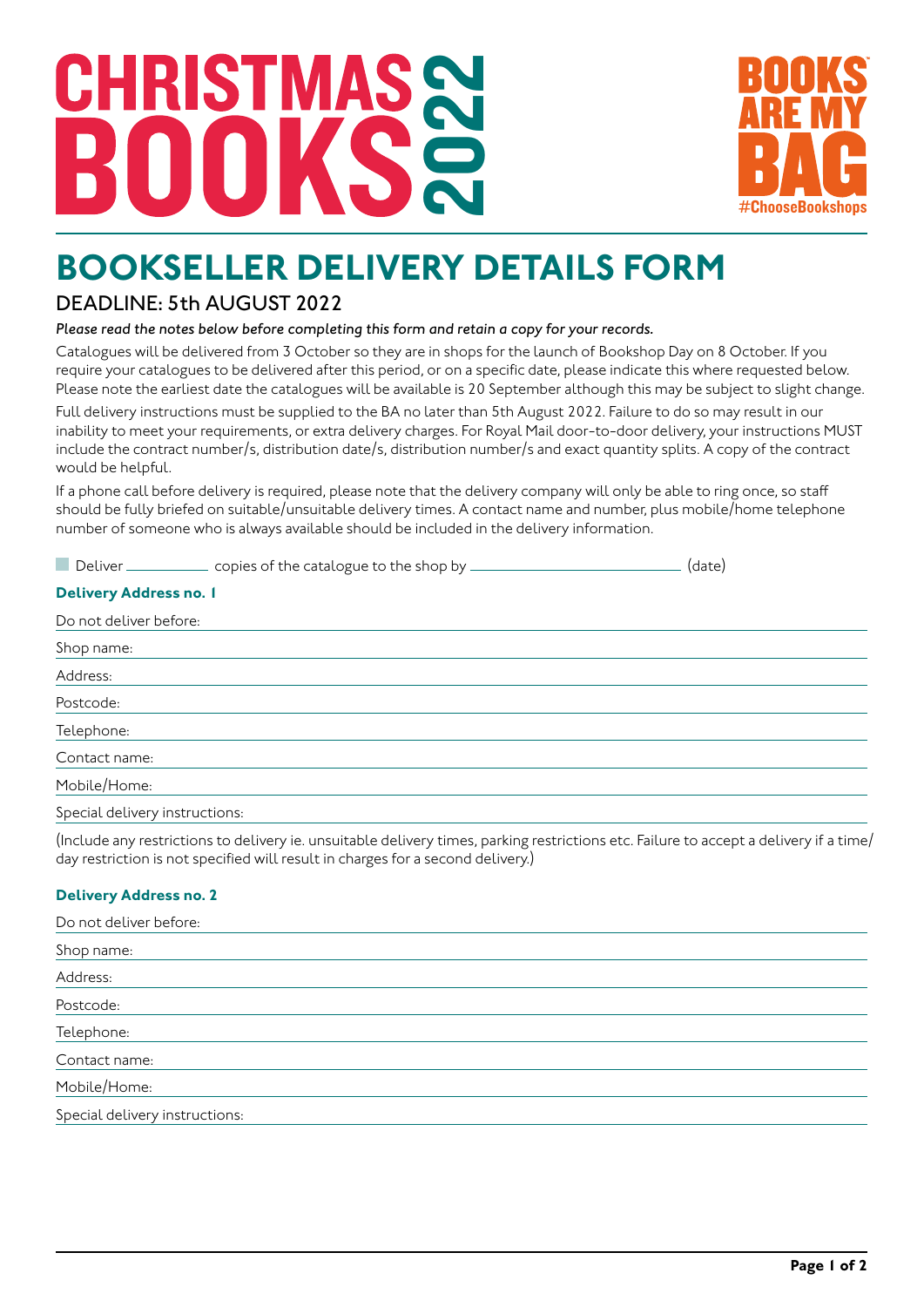## **CHRISTMA** 2022



### **BOOKSELLER DELIVERY DETAILS FORM**

#### DEADLINE: 5th AUGUST 2022

#### *Please read the notes below before completing this form and retain a copy for your records.*

Catalogues will be delivered from 3 October so they are in shops for the launch of Bookshop Day on 8 October. If you require your catalogues to be delivered after this period, or on a specific date, please indicate this where requested below. Please note the earliest date the catalogues will be available is 20 September although this may be subject to slight change.

Full delivery instructions must be supplied to the BA no later than 5th August 2022. Failure to do so may result in our inability to meet your requirements, or extra delivery charges. For Royal Mail door-to-door delivery, your instructions MUST include the contract number/s, distribution date/s, distribution number/s and exact quantity splits. A copy of the contract would be helpful.

If a phone call before delivery is required, please note that the delivery company will only be able to ring once, so staff should be fully briefed on suitable/unsuitable delivery times. A contact name and number, plus mobile/home telephone number of someone who is always available should be included in the delivery information.

|                                                                                                                 | Deliver ______________ copies of the catalogue to the shop by _________ | (date) |  |  |
|-----------------------------------------------------------------------------------------------------------------|-------------------------------------------------------------------------|--------|--|--|
| <b>Delivery Address no. 1</b>                                                                                   |                                                                         |        |  |  |
| Do not deliver before:                                                                                          |                                                                         |        |  |  |
| Shop name:                                                                                                      |                                                                         |        |  |  |
| Address:                                                                                                        |                                                                         |        |  |  |
| Postcode:                                                                                                       |                                                                         |        |  |  |
| Telephone:                                                                                                      |                                                                         |        |  |  |
| Contact name:                                                                                                   |                                                                         |        |  |  |
| Mobile/Home:                                                                                                    |                                                                         |        |  |  |
| the contract of the contract of the contract of the contract of the contract of the contract of the contract of |                                                                         |        |  |  |

Special delivery instructions:

(Include any restrictions to delivery ie. unsuitable delivery times, parking restrictions etc. Failure to accept a delivery if a time/ day restriction is not specified will result in charges for a second delivery.)

#### **Delivery Address no. 2**

| Do not deliver before:         |
|--------------------------------|
| Shop name:                     |
| Address:                       |
| Postcode:                      |
| Telephone:                     |
| Contact name:                  |
| Mobile/Home:                   |
| Special delivery instructions: |